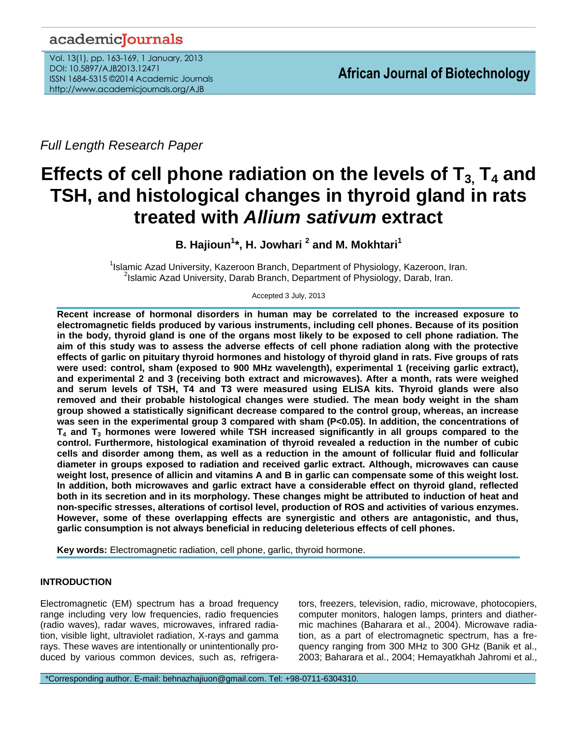# academicJournals

Vol. 13(1), pp. 163-169, 1 January, 2013 DOI: 10.5897/AJB2013.12471 ISSN 1684-5315 ©2014 Academic Journals http://www.academicjournals.org/AJB

*Full Length Research Paper*

# **Effects of cell phone radiation on the levels of T3, T<sup>4</sup> and TSH, and histological changes in thyroid gland in rats treated with** *Allium sativum* **extract**

**B. Hajioun<sup>1</sup> \*, H. Jowhari <sup>2</sup> and M. Mokhtari<sup>1</sup>**

<sup>1</sup>Islamic Azad University, Kazeroon Branch, Department of Physiology, Kazeroon, Iran. <sup>2</sup>Islamic Azad University, Darab Branch, Department of Physiology, Darab, Iran.

Accepted 3 July, 2013

**Recent increase of hormonal disorders in human may be correlated to the increased exposure to electromagnetic fields produced by various instruments, including cell phones. Because of its position in the body, thyroid gland is one of the organs most likely to be exposed to cell phone radiation. The aim of this study was to assess the adverse effects of cell phone radiation along with the protective effects of garlic on pituitary thyroid hormones and histology of thyroid gland in rats. Five groups of rats were used: control, sham (exposed to 900 MHz wavelength), experimental 1 (receiving garlic extract), and experimental 2 and 3 (receiving both extract and microwaves). After a month, rats were weighed and serum levels of TSH, T4 and T3 were measured using ELISA kits. Thyroid glands were also removed and their probable histological changes were studied. The mean body weight in the sham group showed a statistically significant decrease compared to the control group, whereas, an increase was seen in the experimental group 3 compared with sham (P<0.05). In addition, the concentrations of T<sup>4</sup> and T<sup>3</sup> hormones were lowered while TSH increased significantly in all groups compared to the control. Furthermore, histological examination of thyroid revealed a reduction in the number of cubic cells and disorder among them, as well as a reduction in the amount of follicular fluid and follicular diameter in groups exposed to radiation and received garlic extract. Although, microwaves can cause weight lost, presence of allicin and vitamins A and B in garlic can compensate some of this weight lost. In addition, both microwaves and garlic extract have a considerable effect on thyroid gland, reflected both in its secretion and in its morphology. These changes might be attributed to induction of heat and non-specific stresses, alterations of cortisol level, production of ROS and activities of various enzymes. However, some of these overlapping effects are synergistic and others are antagonistic, and thus, garlic consumption is not always beneficial in reducing deleterious effects of cell phones.**

**Key words:** Electromagnetic radiation, cell phone, garlic, thyroid hormone.

## **INTRODUCTION**

Electromagnetic (EM) spectrum has a broad frequency range including very low frequencies, radio frequencies (radio waves), radar waves, microwaves, infrared radiation, visible light, ultraviolet radiation, X-rays and gamma rays. These waves are intentionally or unintentionally produced by various common devices, such as, refrigerators, freezers, television, radio, microwave, photocopiers, computer monitors, halogen lamps, printers and diathermic machines (Baharara et al., 2004). Microwave radiation, as a part of electromagnetic spectrum, has a frequency ranging from 300 MHz to 300 GHz (Banik et al., 2003; Baharara et al., 2004; Hemayatkhah Jahromi et al.,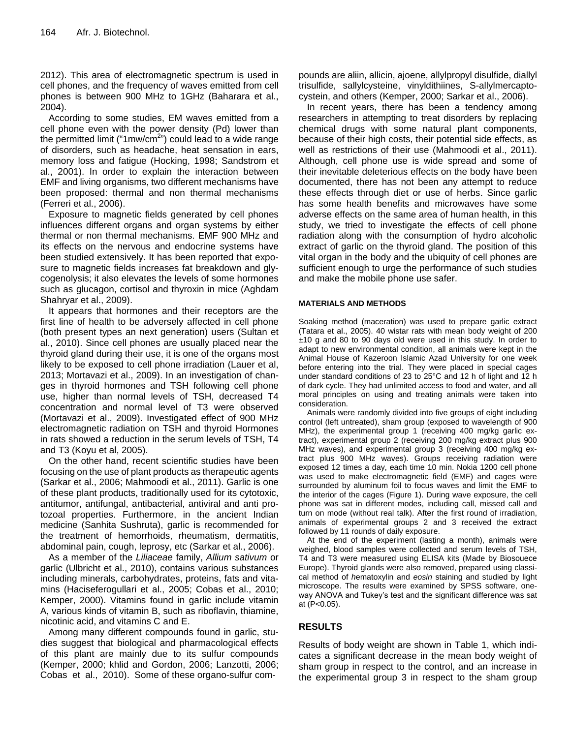2012). This area of electromagnetic spectrum is used in cell phones, and the frequency of waves emitted from cell phones is between 900 MHz to 1GHz (Baharara et al., 2004).

According to some studies, EM waves emitted from a cell phone even with the power density (Pd) lower than the permitted limit ("1mw/cm<sup>2</sup>") could lead to a wide range of disorders, such as headache, heat sensation in ears, memory loss and fatigue (Hocking, 1998; Sandstrom et al., 2001). In order to explain the interaction between EMF and living organisms, two different mechanisms have been proposed: thermal and non thermal mechanisms (Ferreri et al., 2006).

Exposure to magnetic fields generated by cell phones influences different organs and organ systems by either thermal or non thermal mechanisms. EMF 900 MHz and its effects on the nervous and endocrine systems have been studied extensively. It has been reported that exposure to magnetic fields increases fat breakdown and glycogenolysis; it also elevates the levels of some hormones such as glucagon, cortisol and thyroxin in mice (Aghdam Shahryar et al., 2009).

It appears that hormones and their receptors are the first line of health to be adversely affected in cell phone (both present types an next generation) users (Sultan et al., 2010). Since cell phones are usually placed near the thyroid gland during their use, it is one of the organs most likely to be exposed to cell phone irradiation (Lauer et al, 2013; Mortavazi et al., 2009). In an investigation of changes in thyroid hormones and TSH following cell phone use, higher than normal levels of TSH, decreased T4 concentration and normal level of T3 were observed (Mortavazi et al., 2009). Investigated effect of 900 MHz electromagnetic radiation on TSH and thyroid Hormones in rats showed a reduction in the serum levels of TSH, T4 and T3 (Koyu et al, 2005).

On the other hand, recent scientific studies have been focusing on the use of plant products as therapeutic agents (Sarkar et al., 2006; Mahmoodi et al., 2011). Garlic is one of these plant products, traditionally used for its cytotoxic, antitumor, antifungal, antibacterial, antiviral and anti protozoal properties. Furthermore, in the ancient Indian medicine (Sanhita Sushruta), garlic is recommended for the treatment of hemorrhoids, rheumatism, dermatitis, abdominal pain, cough, leprosy, etc (Sarkar et al., 2006).

As a member of the *Liliaceae* family, *Allium sativum* or garlic (Ulbricht et al., 2010), contains various substances including minerals, carbohydrates, proteins, fats and vitamins (Haciseferogullari et al., 2005; Cobas et al., 2010; Kemper, 2000). Vitamins found in garlic include vitamin A, various kinds of vitamin B, such as riboflavin, thiamine, nicotinic acid, and vitamins C and E.

Among many different compounds found in garlic, studies suggest that biological and pharmacological effects of this plant are mainly due to its sulfur compounds (Kemper, 2000; khlid and Gordon, 2006; Lanzotti, 2006; Cobas et al., 2010). Some of these organo-sulfur compounds are aliin, allicin, ajoene, allylpropyl disulfide, diallyl trisulfide, sallylcysteine, vinyldithiines, S-allylmercaptocystein, and others (Kemper, 2000; Sarkar et al., 2006).

In recent years, there has been a tendency among researchers in attempting to treat disorders by replacing chemical drugs with some natural plant components, because of their high costs, their potential side effects, as well as restrictions of their use (Mahmoodi et al., 2011). Although, cell phone use is wide spread and some of their inevitable deleterious effects on the body have been documented, there has not been any attempt to reduce these effects through diet or use of herbs. Since garlic has some health benefits and microwaves have some adverse effects on the same area of human health, in this study, we tried to investigate the effects of cell phone radiation along with the consumption of hydro alcoholic extract of garlic on the thyroid gland. The position of this vital organ in the body and the ubiquity of cell phones are sufficient enough to urge the performance of such studies and make the mobile phone use safer.

#### **MATERIALS AND METHODS**

Soaking method (maceration) was used to prepare garlic extract (Tatara et al., 2005). 40 wistar rats with mean body weight of 200 ±10 g and 80 to 90 days old were used in this study. In order to adapt to new environmental condition, all animals were kept in the Animal House of Kazeroon Islamic Azad University for one week before entering into the trial. They were placed in special cages under standard conditions of 23 to 25°C and 12 h of light and 12 h of dark cycle. They had unlimited access to food and water, and all moral principles on using and treating animals were taken into consideration.

Animals were randomly divided into five groups of eight including control (left untreated), sham group (exposed to wavelength of 900 MHz), the experimental group 1 (receiving 400 mg/kg garlic extract), experimental group 2 (receiving 200 mg/kg extract plus 900 MHz waves), and experimental group 3 (receiving 400 mg/kg extract plus 900 MHz waves). Groups receiving radiation were exposed 12 times a day, each time 10 min. Nokia 1200 cell phone was used to make electromagnetic field (EMF) and cages were surrounded by aluminum foil to focus waves and limit the EMF to the interior of the cages (Figure 1). During wave exposure, the cell phone was sat in different modes, including call, missed call and turn on mode (without real talk). After the first round of irradiation, animals of experimental groups 2 and 3 received the extract followed by 11 rounds of daily exposure.

At the end of the experiment (lasting a month), animals were weighed, blood samples were collected and serum levels of TSH, T4 and T3 were measured using ELISA kits (Made by Biosouece Europe). Thyroid glands were also removed, prepared using classical method of *h*ematoxylin and *eosin* staining and studied by light microscope. The results were examined by SPSS software, oneway ANOVA and Tukey's test and the significant difference was sat at (P<0.05).

#### **RESULTS**

Results of body weight are shown in Table 1, which indicates a significant decrease in the mean body weight of sham group in respect to the control, and an increase in the experimental group 3 in respect to the sham group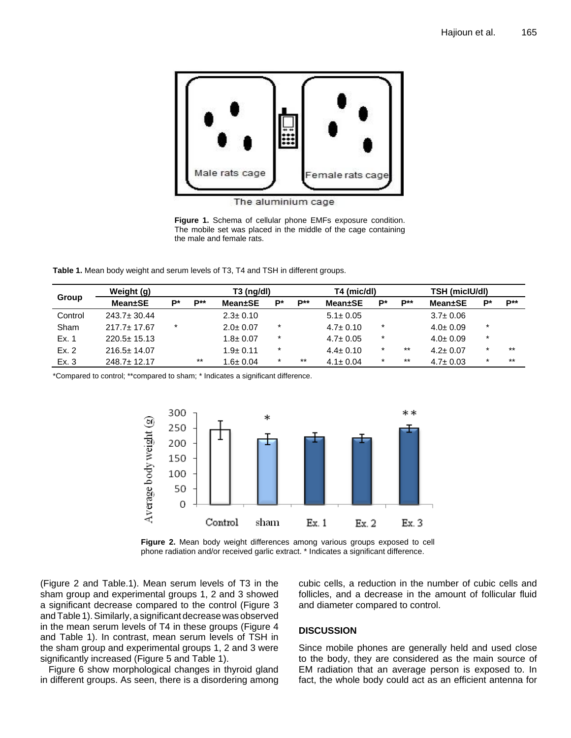

The aluminium cage

**Figure 1.** Schema of cellular phone EMFs exposure condition. The mobile set was placed in the middle of the cage containing the male and female rats.

**Table 1.** Mean body weight and serum levels of T3, T4 and TSH in different groups.

| Group   | Weight (g)        | T3 (ng/dl) |       |                 | T4 (mic/dl) |       |                | TSH (micIU/dl) |       |                 |         |       |
|---------|-------------------|------------|-------|-----------------|-------------|-------|----------------|----------------|-------|-----------------|---------|-------|
|         | <b>Mean</b> ±SE   | Þ*         | D**   | <b>Mean</b> ±SE | P*          | D**   | Mean±SE        | р∗             | P**   | <b>Mean</b> ±SE | Þ*      | P**   |
| Control | $243.7 \pm 30.44$ |            |       | $2.3 \pm 0.10$  |             |       | $5.1 \pm 0.05$ |                |       | $3.7 \pm 0.06$  |         |       |
| Sham    | $217.7 \pm 17.67$ | $\ast$     |       | $2.0 \pm 0.07$  | $\ast$      |       | $4.7 \pm 0.10$ | $\star$        |       | $4.0 \pm 0.09$  | $\ast$  |       |
| Ex. 1   | $220.5 \pm 15.13$ |            |       | $1.8 + 0.07$    | $\star$     |       | $4.7 \pm 0.05$ | $\star$        |       | $4.0 \pm 0.09$  | $\ast$  |       |
| Ex. 2   | $216.5 \pm 14.07$ |            |       | $1.9 \pm 0.11$  | $\ast$      |       | $4.4 \pm 0.10$ | $\star$        | $***$ | $4.2 \pm 0.07$  | $\star$ | $***$ |
| Ex. 3   | $248.7 \pm 12.17$ |            | $***$ | $.6 \pm 0.04$   | $\star$     | $***$ | $4.1 \pm 0.04$ | $\star$        | $***$ | $4.7 \pm 0.03$  | $\star$ | $***$ |

\*Compared to control; \*\*compared to sham; \* Indicates a significant difference.



**Figure 2.** Mean body weight differences among various groups exposed to cell phone radiation and/or received garlic extract. \* Indicates a significant difference.

(Figure 2 and Table.1). Mean serum levels of T3 in the sham group and experimental groups 1, 2 and 3 showed a significant decrease compared to the control (Figure 3 andTable 1).Similarly, a significant decreasewas observed in the mean serum levels of T4 in these groups (Figure 4 and Table 1). In contrast, mean serum levels of TSH in the sham group and experimental groups 1, 2 and 3 were significantly increased (Figure 5 and Table 1).

Figure 6 show morphological changes in thyroid gland in different groups. As seen, there is a disordering among

cubic cells, a reduction in the number of cubic cells and follicles, and a decrease in the amount of follicular fluid and diameter compared to control.

#### **DISCUSSION**

Since mobile phones are generally held and used close to the body, they are considered as the main source of EM radiation that an average person is exposed to. In fact, the whole body could act as an efficient antenna for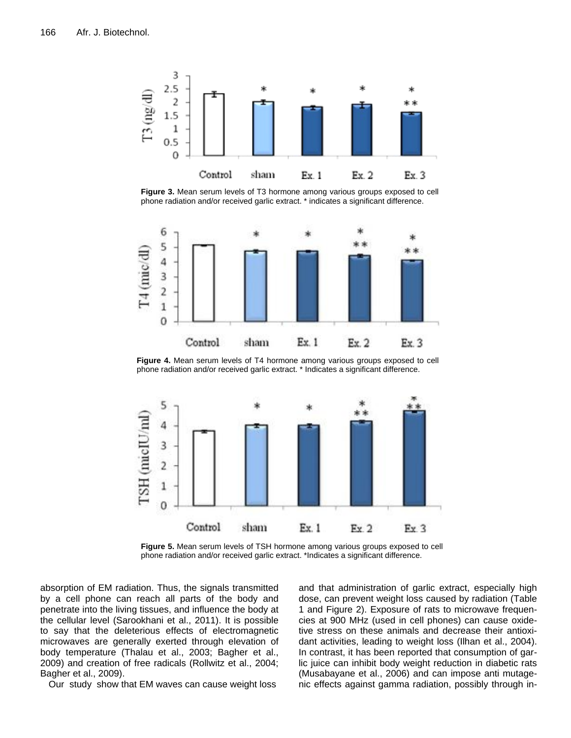

**Figure 3.** Mean serum levels of T3 hormone among various groups exposed to cell phone radiation and/or received garlic extract. \* indicates a significant difference.



**Figure 4.** Mean serum levels of T4 hormone among various groups exposed to cell phone radiation and/or received garlic extract. \* Indicates a significant difference.



**Figure 5.** Mean serum levels of TSH hormone among various groups exposed to cell phone radiation and/or received garlic extract. \*Indicates a significant difference.

absorption of EM radiation. Thus, the signals transmitted by a cell phone can reach all parts of the body and penetrate into the living tissues, and influence the body at the cellular level (Sarookhani et al., 2011). It is possible to say that the deleterious effects of electromagnetic microwaves are generally exerted through elevation of body temperature (Thalau et al., 2003; Bagher et al., 2009) and creation of free radicals (Rollwitz et al., 2004; Bagher et al., 2009).

Our study show that EM waves can cause weight loss

and that administration of garlic extract, especially high dose, can prevent weight loss caused by radiation (Table 1 and Figure 2). Exposure of rats to microwave frequencies at 900 MHz (used in cell phones) can cause oxidetive stress on these animals and decrease their antioxidant activities, leading to weight loss (Ilhan et al., 2004). In contrast, it has been reported that consumption of garlic juice can inhibit body weight reduction in diabetic rats (Musabayane et al., 2006) and can impose anti mutagenic effects against gamma radiation, possibly through in-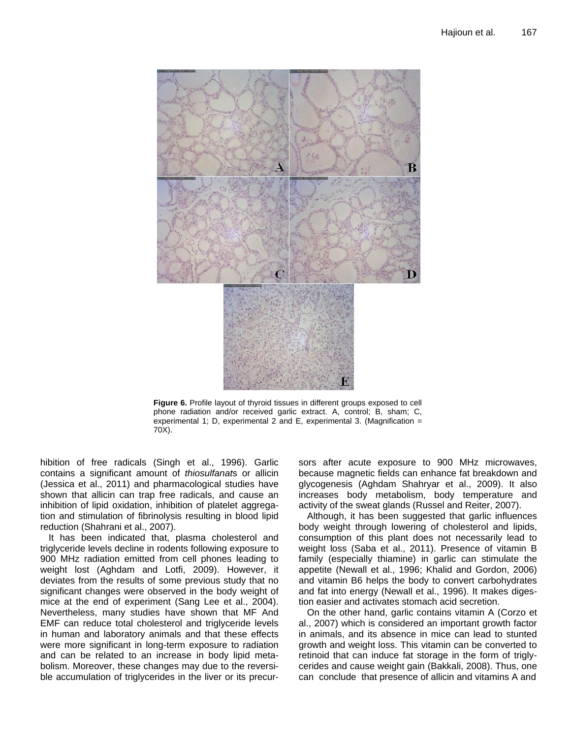

**Figure 6.** Profile layout of thyroid tissues in different groups exposed to cell phone radiation and/or received garlic extract. A, control; B, sham; C, experimental 1; D, experimental 2 and E, experimental 3. (Magnification = 70X).

hibition of free radicals (Singh et al., 1996). Garlic contains a significant amount of *thiosulfanat*s or allicin (Jessica et al., 2011) and pharmacological studies have shown that allicin can trap free radicals, and cause an inhibition of lipid oxidation, inhibition of platelet aggregation and stimulation of fibrinolysis resulting in blood lipid reduction (Shahrani et al., 2007).

It has been indicated that, plasma cholesterol and triglyceride levels decline in rodents following exposure to 900 MHz radiation emitted from cell phones leading to weight lost (Aghdam and Lotfi, 2009). However, it deviates from the results of some previous study that no significant changes were observed in the body weight of mice at the end of experiment (Sang Lee et al., 2004). Nevertheless, many studies have shown that MF And EMF can reduce total cholesterol and triglyceride levels in human and laboratory animals and that these effects were more significant in long-term exposure to radiation and can be related to an increase in body lipid metabolism. Moreover, these changes may due to the reversible accumulation of triglycerides in the liver or its precursors after acute exposure to 900 MHz microwaves, because magnetic fields can enhance fat breakdown and glycogenesis (Aghdam Shahryar et al., 2009). It also increases body metabolism, body temperature and activity of the sweat glands (Russel and Reiter, 2007).

Although, it has been suggested that garlic influences body weight through lowering of cholesterol and lipids, consumption of this plant does not necessarily lead to weight loss (Saba et al., 2011). Presence of vitamin B family (especially thiamine) in garlic can stimulate the appetite (Newall et al., 1996; Khalid and Gordon, 2006) and vitamin B6 helps the body to convert carbohydrates and fat into energy (Newall et al., 1996). It makes digestion easier and activates stomach acid secretion.

On the other hand, garlic contains vitamin A (Corzo et al., 2007) which is considered an important growth factor in animals, and its absence in mice can lead to stunted growth and weight loss. This vitamin can be converted to retinoid that can induce fat storage in the form of triglycerides and cause weight gain (Bakkali, 2008). Thus, one can conclude that presence of allicin and vitamins A and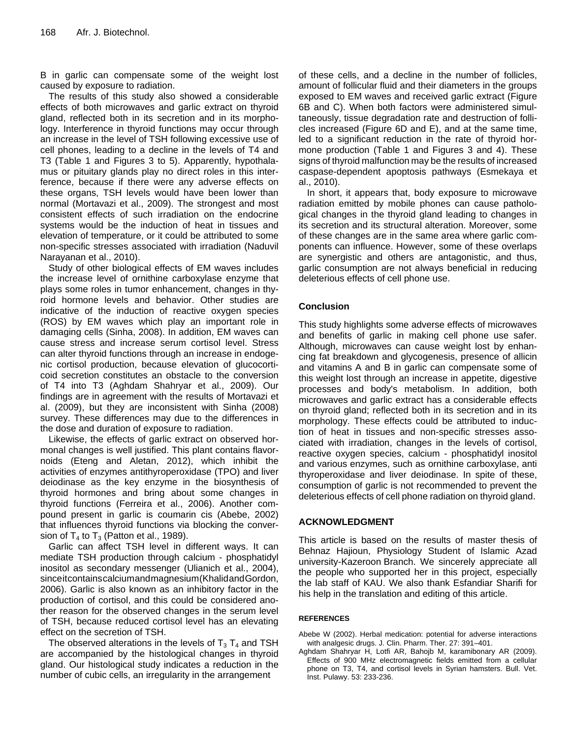B in garlic can compensate some of the weight lost caused by exposure to radiation.

The results of this study also showed a considerable effects of both microwaves and garlic extract on thyroid gland, reflected both in its secretion and in its morphology. Interference in thyroid functions may occur through an increase in the level of TSH following excessive use of cell phones, leading to a decline in the levels of T4 and T3 (Table 1 and Figures 3 to 5). Apparently, hypothalamus or pituitary glands play no direct roles in this interference, because if there were any adverse effects on these organs, TSH levels would have been lower than normal (Mortavazi et al., 2009). The strongest and most consistent effects of such irradiation on the endocrine systems would be the induction of heat in tissues and elevation of temperature, or it could be attributed to some non-specific stresses associated with irradiation (Naduvil Narayanan et al., 2010).

Study of other biological effects of EM waves includes the increase level of ornithine carboxylase enzyme that plays some roles in tumor enhancement, changes in thyroid hormone levels and behavior. Other studies are indicative of the induction of reactive oxygen species (ROS) by EM waves which play an important role in damaging cells (Sinha, 2008). In addition, EM waves can cause stress and increase serum cortisol level. Stress can alter thyroid functions through an increase in endogenic cortisol production, because elevation of glucocorticoid secretion constitutes an obstacle to the conversion of T4 into T3 (Aghdam Shahryar et al., 2009). Our findings are in agreement with the results of Mortavazi et al. (2009), but they are inconsistent with Sinha (2008) survey. These differences may due to the differences in the dose and duration of exposure to radiation.

Likewise, the effects of garlic extract on observed hormonal changes is well justified. This plant contains flavornoids (Eteng and Aletan, 2012), which inhibit the activities of enzymes antithyroperoxidase (TPO) and liver deiodinase as the key enzyme in the biosynthesis of thyroid hormones and bring about some changes in thyroid functions (Ferreira et al., 2006). Another compound present in garlic is coumarin cis (Abebe, 2002) that influences thyroid functions via blocking the conversion of  $T_4$  to  $T_3$  (Patton et al., 1989).

Garlic can affect TSH level in different ways. It can mediate TSH production through calcium - phosphatidyl inositol as secondary messenger (Ulianich et al., 2004), sinceitcontainscalciumandmagnesium(KhalidandGordon, 2006). Garlic is also known as an inhibitory factor in the production of cortisol, and this could be considered another reason for the observed changes in the serum level of TSH, because reduced cortisol level has an elevating effect on the secretion of TSH.

The observed alterations in the levels of  $T_3$   $T_4$  and TSH are accompanied by the histological changes in thyroid gland. Our histological study indicates a reduction in the number of cubic cells, an irregularity in the arrangement

of these cells, and a decline in the number of follicles, amount of follicular fluid and their diameters in the groups exposed to EM waves and received garlic extract (Figure 6B and C). When both factors were administered simultaneously, tissue degradation rate and destruction of follicles increased (Figure 6D and E), and at the same time, led to a significant reduction in the rate of thyroid hormone production (Table 1 and Figures 3 and 4). These signs of thyroid malfunction may be the results of increased caspase-dependent apoptosis pathways (Esmekaya et al., 2010).

In short, it appears that, body exposure to microwave radiation emitted by mobile phones can cause pathological changes in the thyroid gland leading to changes in its secretion and its structural alteration. Moreover, some of these changes are in the same area where garlic components can influence. However, some of these overlaps are synergistic and others are antagonistic, and thus, garlic consumption are not always beneficial in reducing deleterious effects of cell phone use.

### **Conclusion**

This study highlights some adverse effects of microwaves and benefits of garlic in making cell phone use safer. Although, microwaves can cause weight lost by enhancing fat breakdown and glycogenesis, presence of allicin and vitamins A and B in garlic can compensate some of this weight lost through an increase in appetite, digestive processes and body's metabolism. In addition, both microwaves and garlic extract has a considerable effects on thyroid gland; reflected both in its secretion and in its morphology. These effects could be attributed to induction of heat in tissues and non-specific stresses associated with irradiation, changes in the levels of cortisol, reactive oxygen species, calcium - phosphatidyl inositol and various enzymes, such as ornithine carboxylase, anti thyroperoxidase and liver deiodinase. In spite of these, consumption of garlic is not recommended to prevent the deleterious effects of cell phone radiation on thyroid gland.

#### **ACKNOWLEDGMENT**

This article is based on the results of master thesis of Behnaz Hajioun, Physiology Student of Islamic Azad university-Kazeroon Branch. We sincerely appreciate all the people who supported her in this project, especially the lab staff of KAU. We also thank Esfandiar Sharifi for his help in the translation and editing of this article.

#### **REFERENCES**

Abebe W (2002). Herbal medication: potential for adverse interactions with analgesic drugs. J. Clin. Pharm. Ther. 27: 391–401.

Aghdam Shahryar H, Lotfi AR, Bahojb M, karamibonary AR (2009). Effects of 900 MHz electromagnetic fields emitted from a cellular phone on T3, T4, and cortisol levels in Syrian hamsters. Bull. Vet. Inst. Pulawy. 53: 233-236.